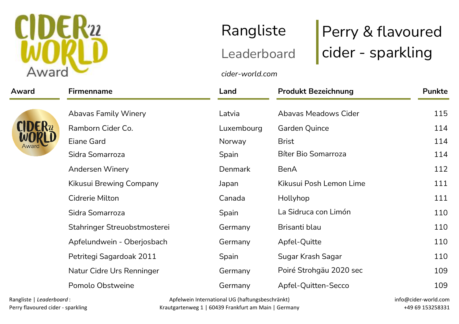

## Award Firmenname Land Produkt Bezeichnung Punkte Abavas Family Winery **Abavas Meadows Cider** 115 Ramborn Cider Co. 
The Luxembourg Carden Quince 114 Eiane Gard Norway Brist 114 Sidra Somarroza **Spain** Spain Bíter Bio Somarroza **114** Andersen Winery **Denmark** BenA 112 Kikusui Brewing Company Japan Kikusui Posh Lemon Lime 111 Cidrerie Milton Canada Hollyhop 111 Sidra Somarroza Spain La Sidruca con Limón 110 Stahringer Streuobstmosterei and Germany Brisanti blau blau 110 Apfelundwein - Oberjosbach and Germany Apfel-Quitte 110 Petritegi Sagardoak 2011 Spain Sugar Krash Sagar Sugar Krash Sagar 110 Natur Cidre Urs Renninger and Germany Poiré Strohgäu 2020 sec and 109 Pomolo Obstweine The Germany Apfel-Ouitten-Secco and the 109

Rangliste | Leaderboard : Perry flavoured cider - sparkling

Apfelwein International UG (haftungsbeschränkt) Krautgartenweg 1 | 60439 Frankfurt am Main | Germany

cider-world.com

| Apfel-Quitte      |  |  |
|-------------------|--|--|
| Sugar Krash Sagar |  |  |

Rangliste Perry & flavoured Rangliste Perry & flavoured<br>Leaderboard cider - sparkling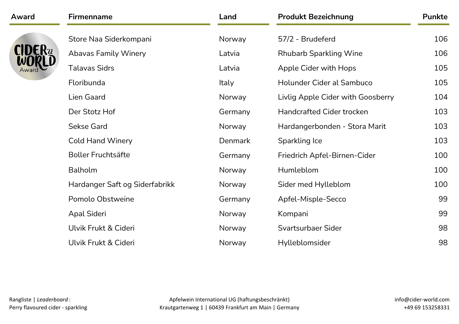| Award | <b>Firmenname</b>              | Land         | <b>Produkt Bezeichnung</b>        | <b>Punkte</b> |
|-------|--------------------------------|--------------|-----------------------------------|---------------|
|       | Store Naa Siderkompani         | Norway       | 57/2 - Brudeferd                  | 106           |
|       | <b>Abavas Family Winery</b>    | Latvia       | <b>Rhubarb Sparkling Wine</b>     | 106           |
|       | <b>Talavas Sidrs</b>           | Latvia       | Apple Cider with Hops             | 105           |
|       | Floribunda                     | <b>Italy</b> | Holunder Cider al Sambuco         | 105           |
|       | Lien Gaard                     | Norway       | Livlig Apple Cider with Goosberry | 104           |
|       | Der Stotz Hof                  | Germany      | <b>Handcrafted Cider trocken</b>  | 103           |
|       | <b>Sekse Gard</b>              | Norway       | Hardangerbonden - Stora Marit     | 103           |
|       | <b>Cold Hand Winery</b>        | Denmark      | Sparkling Ice                     | 103           |
|       | <b>Boller Fruchtsäfte</b>      | Germany      | Friedrich Apfel-Birnen-Cider      | 100           |
|       | Balholm                        | Norway       | Humleblom                         | 100           |
|       | Hardanger Saft og Siderfabrikk | Norway       | Sider med Hylleblom               | 100           |
|       | Pomolo Obstweine               | Germany      | Apfel-Misple-Secco                | 99            |
|       | Apal Sideri                    | Norway       | Kompani                           | 99            |
|       | Ulvik Frukt & Cideri           | Norway       | Svartsurbaer Sider                | 98            |
|       | Ulvik Frukt & Cideri           | Norway       | Hylleblomsider                    | 98            |
|       |                                |              |                                   |               |